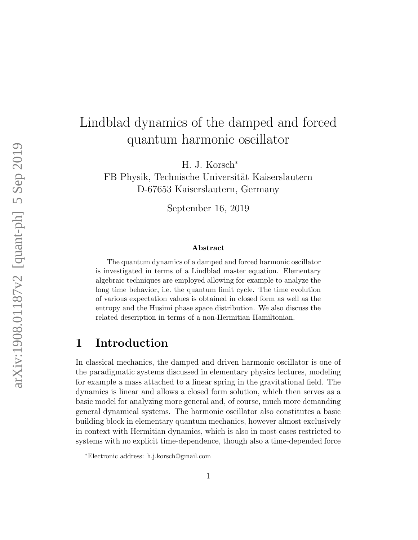# Lindblad dynamics of the damped and forced quantum harmonic oscillator

H. J. Korsch<sup>∗</sup>

FB Physik, Technische Universität Kaiserslautern D-67653 Kaiserslautern, Germany

September 16, 2019

#### Abstract

The quantum dynamics of a damped and forced harmonic oscillator is investigated in terms of a Lindblad master equation. Elementary algebraic techniques are employed allowing for example to analyze the long time behavior, i.e. the quantum limit cycle. The time evolution of various expectation values is obtained in closed form as well as the entropy and the Husimi phase space distribution. We also discuss the related description in terms of a non-Hermitian Hamiltonian.

### 1 Introduction

In classical mechanics, the damped and driven harmonic oscillator is one of the paradigmatic systems discussed in elementary physics lectures, modeling for example a mass attached to a linear spring in the gravitational field. The dynamics is linear and allows a closed form solution, which then serves as a basic model for analyzing more general and, of course, much more demanding general dynamical systems. The harmonic oscillator also constitutes a basic building block in elementary quantum mechanics, however almost exclusively in context with Hermitian dynamics, which is also in most cases restricted to systems with no explicit time-dependence, though also a time-depended force

<sup>∗</sup>Electronic address: h.j.korsch@gmail.com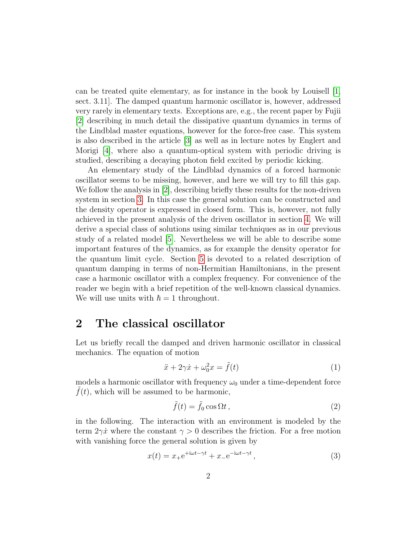can be treated quite elementary, as for instance in the book by Louisell [\[1,](#page-22-0) sect. 3.11]. The damped quantum harmonic oscillator is, however, addressed very rarely in elementary texts. Exceptions are, e.g., the recent paper by Fujii [\[2\]](#page-22-1) describing in much detail the dissipative quantum dynamics in terms of the Lindblad master equations, however for the force-free case. This system is also described in the article [\[3\]](#page-22-2) as well as in lecture notes by Englert and Morigi [\[4\]](#page-22-3), where also a quantum-optical system with periodic driving is studied, describing a decaying photon field excited by periodic kicking.

An elementary study of the Lindblad dynamics of a forced harmonic oscillator seems to be missing, however, and here we will try to fill this gap. We follow the analysis in [\[2\]](#page-22-1), describing briefly these results for the non-driven system in section [3.](#page-2-0) In this case the general solution can be constructed and the density operator is expressed in closed form. This is, however, not fully achieved in the present analysis of the driven oscillator in section [4.](#page-10-0) We will derive a special class of solutions using similar techniques as in our previous study of a related model [\[5\]](#page-22-4). Nevertheless we will be able to describe some important features of the dynamics, as for example the density operator for the quantum limit cycle. Section [5](#page-18-0) is devoted to a related description of quantum damping in terms of non-Hermitian Hamiltonians, in the present case a harmonic oscillator with a complex frequency. For convenience of the reader we begin with a brief repetition of the well-known classical dynamics. We will use units with  $\hbar = 1$  throughout.

# <span id="page-1-3"></span>2 The classical oscillator

Let us briefly recall the damped and driven harmonic oscillator in classical mechanics. The equation of motion

<span id="page-1-2"></span>
$$
\ddot{x} + 2\gamma \dot{x} + \omega_0^2 x = \tilde{f}(t)
$$
\n(1)

models a harmonic oscillator with frequency  $\omega_0$  under a time-dependent force  $f(t)$ , which will be assumed to be harmonic,

<span id="page-1-1"></span>
$$
\tilde{f}(t) = \tilde{f}_0 \cos \Omega t, \qquad (2)
$$

in the following. The interaction with an environment is modeled by the term  $2\gamma \dot{x}$  where the constant  $\gamma > 0$  describes the friction. For a free motion with vanishing force the general solution is given by

<span id="page-1-0"></span>
$$
x(t) = x_{+}e^{+i\omega t - \gamma t} + x_{-}e^{-i\omega t - \gamma t}, \qquad (3)
$$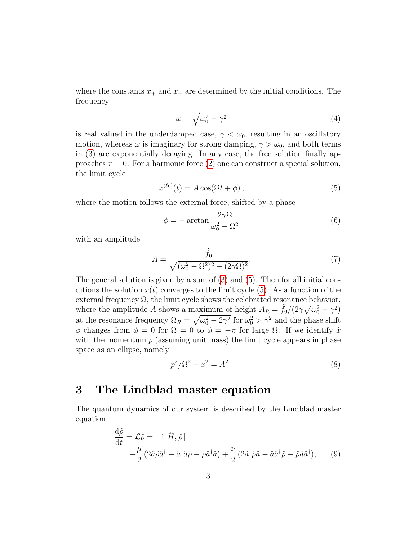where the constants  $x_+$  and  $x_-$  are determined by the initial conditions. The frequency

$$
\omega = \sqrt{\omega_0^2 - \gamma^2} \tag{4}
$$

is real valued in the underdamped case,  $\gamma < \omega_0$ , resulting in an oscillatory motion, whereas  $\omega$  is imaginary for strong damping,  $\gamma > \omega_0$ , and both terms in [\(3\)](#page-1-0) are exponentially decaying. In any case, the free solution finally approaches  $x = 0$ . For a harmonic force [\(2\)](#page-1-1) one can construct a special solution, the limit cycle

<span id="page-2-1"></span>
$$
x^{(\ell c)}(t) = A\cos(\Omega t + \phi), \tag{5}
$$

where the motion follows the external force, shifted by a phase

$$
\phi = -\arctan\frac{2\gamma\Omega}{\omega_0^2 - \Omega^2} \tag{6}
$$

with an amplitude

$$
A = \frac{\tilde{f}_0}{\sqrt{(\omega_0^2 - \Omega^2)^2 + (2\gamma \Omega)^2}}.
$$
\n(7)

The general solution is given by a sum of  $(3)$  and  $(5)$ . Then for all initial conditions the solution  $x(t)$  converges to the limit cycle [\(5\)](#page-2-1). As a function of the external frequency  $\Omega$ , the limit cycle shows the celebrated resonance behavior, where the amplitude A shows a maximum of height  $A_R = \tilde{f}_0/(2\gamma\sqrt{\omega_0^2 - \gamma^2})$ at the resonance frequency  $\Omega_R = \sqrt{\omega_0^2 - 2\gamma^2}$  for  $\omega_0^2 > \gamma^2$  and the phase shift φ changes from  $\phi = 0$  for  $\Omega = 0$  to  $\phi = -\pi$  for large  $\Omega$ . If we identify  $\dot{x}$ with the momentum  $p$  (assuming unit mass) the limit cycle appears in phase space as an ellipse, namely

$$
p^2/\Omega^2 + x^2 = A^2.
$$
 (8)

#### <span id="page-2-0"></span>3 The Lindblad master equation

The quantum dynamics of our system is described by the Lindblad master equation

<span id="page-2-2"></span>
$$
\frac{d\hat{\rho}}{dt} = \mathcal{L}\hat{\rho} = -i [\hat{H}, \hat{\rho}] \n+ \frac{\mu}{2} (2\hat{a}\hat{\rho}\hat{a}^{\dagger} - \hat{a}^{\dagger}\hat{a}\hat{\rho} - \hat{\rho}\hat{a}^{\dagger}\hat{a}) + \frac{\nu}{2} (2\hat{a}^{\dagger}\hat{\rho}\hat{a} - \hat{a}\hat{a}^{\dagger}\hat{\rho} - \hat{\rho}\hat{a}\hat{a}^{\dagger}),
$$
\n(9)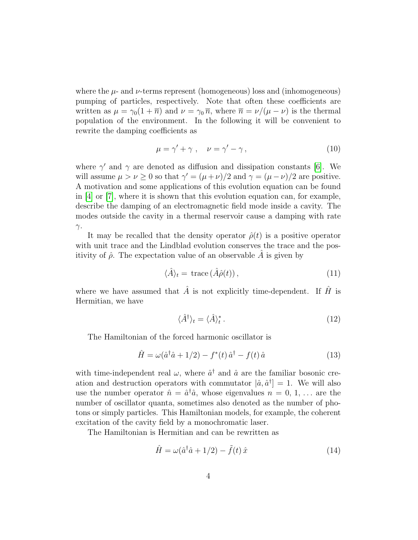where the  $\mu$ - and  $\nu$ -terms represent (homogeneous) loss and (inhomogeneous) pumping of particles, respectively. Note that often these coefficients are written as  $\mu = \gamma_0(1 + \overline{n})$  and  $\nu = \gamma_0 \overline{n}$ , where  $\overline{n} = \nu/(\mu - \nu)$  is the thermal population of the environment. In the following it will be convenient to rewrite the damping coefficients as

$$
\mu = \gamma' + \gamma \ , \quad \nu = \gamma' - \gamma \,, \tag{10}
$$

where  $\gamma'$  and  $\gamma$  are denoted as diffusion and dissipation constants [\[6\]](#page-22-5). We will assume  $\mu > \nu \geq 0$  so that  $\gamma' = (\mu + \nu)/2$  and  $\gamma = (\mu - \nu)/2$  are positive. A motivation and some applications of this evolution equation can be found in  $[4]$  or  $[7]$ , where it is shown that this evolution equation can, for example, describe the damping of an electromagnetic field mode inside a cavity. The modes outside the cavity in a thermal reservoir cause a damping with rate  $γ$ .

It may be recalled that the density operator  $\hat{\rho}(t)$  is a positive operator with unit trace and the Lindblad evolution conserves the trace and the positivity of  $\hat{\rho}$ . The expectation value of an observable A is given by

$$
\langle \hat{A} \rangle_t = \text{trace} \left( \hat{A} \hat{\rho}(t) \right), \tag{11}
$$

where we have assumed that  $\hat{A}$  is not explicitly time-dependent. If  $\hat{H}$  is Hermitian, we have

<span id="page-3-0"></span>
$$
\langle \hat{A}^{\dagger} \rangle_t = \langle \hat{A} \rangle_t^* \,. \tag{12}
$$

The Hamiltonian of the forced harmonic oscillator is

<span id="page-3-1"></span>
$$
\hat{H} = \omega(\hat{a}^\dagger \hat{a} + 1/2) - f^*(t) \hat{a}^\dagger - f(t) \hat{a}
$$
\n(13)

with time-independent real  $\omega$ , where  $\hat{a}^{\dagger}$  and  $\hat{a}$  are the familiar bosonic creation and destruction operators with commutator  $(\hat{a}, \hat{a}^{\dagger}] = 1$ . We will also use the number operator  $\hat{n} = \hat{a}^{\dagger} \hat{a}$ , whose eigenvalues  $n = 0, 1, \dots$  are the number of oscillator quanta, sometimes also denoted as the number of photons or simply particles. This Hamiltonian models, for example, the coherent excitation of the cavity field by a monochromatic laser.

The Hamiltonian is Hermitian and can be rewritten as

$$
\hat{H} = \omega(\hat{a}^\dagger \hat{a} + 1/2) - \tilde{f}(t) \hat{x}
$$
\n(14)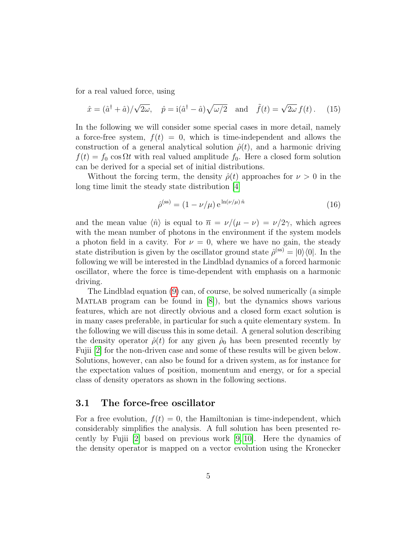for a real valued force, using

$$
\hat{x} = (\hat{a}^\dagger + \hat{a})/\sqrt{2\omega}, \quad \hat{p} = i(\hat{a}^\dagger - \hat{a})\sqrt{\omega/2} \quad \text{and} \quad \tilde{f}(t) = \sqrt{2\omega} f(t).
$$
 (15)

In the following we will consider some special cases in more detail, namely a force-free system,  $f(t) = 0$ , which is time-independent and allows the construction of a general analytical solution  $\hat{\rho}(t)$ , and a harmonic driving  $f(t) = f_0 \cos \Omega t$  with real valued amplitude  $f_0$ . Here a closed form solution can be derived for a special set of initial distributions.

Without the forcing term, the density  $\hat{\rho}(t)$  approaches for  $\nu > 0$  in the long time limit the steady state distribution [\[4\]](#page-22-3)

<span id="page-4-0"></span>
$$
\hat{\rho}^{(\text{ss})} = (1 - \nu/\mu) e^{\ln(\nu/\mu)\hat{n}} \tag{16}
$$

and the mean value  $\langle \hat{n} \rangle$  is equal to  $\overline{n} = \nu/(\mu - \nu) = \nu/2\gamma$ , which agrees with the mean number of photons in the environment if the system models a photon field in a cavity. For  $\nu = 0$ , where we have no gain, the steady state distribution is given by the oscillator ground state  $\hat{\rho}^{(ss)} = |0\rangle\langle 0|$ . In the following we will be interested in the Lindblad dynamics of a forced harmonic oscillator, where the force is time-dependent with emphasis on a harmonic driving.

The Lindblad equation [\(9\)](#page-2-2) can, of course, be solved numerically (a simple MATLAB program can be found in  $[8]$ , but the dynamics shows various features, which are not directly obvious and a closed form exact solution is in many cases preferable, in particular for such a quite elementary system. In the following we will discuss this in some detail. A general solution describing the density operator  $\hat{\rho}(t)$  for any given  $\hat{\rho}_0$  has been presented recently by Fujii [\[2\]](#page-22-1) for the non-driven case and some of these results will be given below. Solutions, however, can also be found for a driven system, as for instance for the expectation values of position, momentum and energy, or for a special class of density operators as shown in the following sections.

#### 3.1 The force-free oscillator

For a free evolution,  $f(t) = 0$ , the Hamiltonian is time-independent, which considerably simplifies the analysis. A full solution has been presented recently by Fujii [\[2\]](#page-22-1) based on previous work [\[9,](#page-23-0) [10\]](#page-23-1). Here the dynamics of the density operator is mapped on a vector evolution using the Kronecker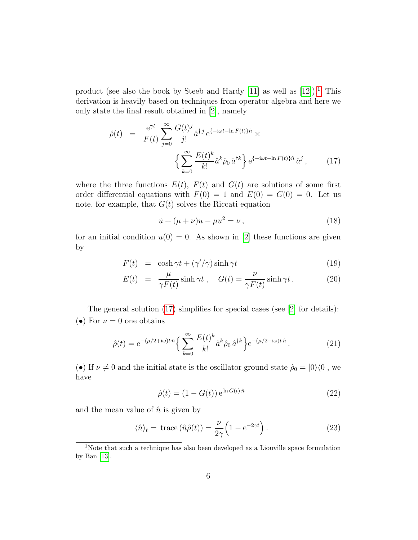product (see also the book by Steeb and Hardy [\[11\]](#page-23-2) as well as  $[12]$ .<sup>[1](#page-5-0)</sup> This derivation is heavily based on techniques from operator algebra and here we only state the final result obtained in [\[2\]](#page-22-1), namely

<span id="page-5-1"></span>
$$
\hat{\rho}(t) = \frac{e^{\gamma t}}{F(t)} \sum_{j=0}^{\infty} \frac{G(t)^j}{j!} \hat{a}^{\dagger j} e^{\{-i\omega t - \ln F(t)\}\hat{n}} \times \left\{ \sum_{k=0}^{\infty} \frac{E(t)^k}{k!} \hat{a}^k \hat{\rho}_0 \hat{a}^{\dagger k} \right\} e^{\{+i\omega t - \ln F(t)\}\hat{n}} \hat{a}^j , \qquad (17)
$$

where the three functions  $E(t)$ ,  $F(t)$  and  $G(t)$  are solutions of some first order differential equations with  $F(0) = 1$  and  $E(0) = G(0) = 0$ . Let us note, for example, that  $G(t)$  solves the Riccati equation

<span id="page-5-4"></span>
$$
\dot{u} + (\mu + \nu)u - \mu u^2 = \nu, \qquad (18)
$$

for an initial condition  $u(0) = 0$ . As shown in [\[2\]](#page-22-1) these functions are given by

<span id="page-5-5"></span>
$$
F(t) = \cosh \gamma t + (\gamma'/\gamma)\sinh \gamma t \tag{19}
$$

$$
E(t) = \frac{\mu}{\gamma F(t)} \sinh \gamma t , \quad G(t) = \frac{\nu}{\gamma F(t)} \sinh \gamma t . \tag{20}
$$

The general solution [\(17\)](#page-5-1) simplifies for special cases (see [\[2\]](#page-22-1) for details): (•) For  $\nu = 0$  one obtains

<span id="page-5-2"></span>
$$
\hat{\rho}(t) = e^{-(\mu/2 + i\omega)t \hat{n}} \left\{ \sum_{k=0}^{\infty} \frac{E(t)^k}{k!} \hat{a}^k \hat{\rho}_0 \hat{a}^{\dagger k} \right\} e^{-(\mu/2 - i\omega)t \hat{n}}.
$$
\n(21)

(•) If  $\nu \neq 0$  and the initial state is the oscillator ground state  $\hat{\rho}_0 = |0\rangle\langle0|$ , we have

$$
\hat{\rho}(t) = (1 - G(t)) e^{\ln G(t)\hat{n}}
$$
\n(22)

and the mean value of  $\hat{n}$  is given by

<span id="page-5-3"></span>
$$
\langle \hat{n} \rangle_t = \text{trace} \left( \hat{n} \hat{\rho}(t) \right) = \frac{\nu}{2\gamma} \left( 1 - e^{-2\gamma t} \right). \tag{23}
$$

<span id="page-5-0"></span><sup>1</sup>Note that such a technique has also been developed as a Liouville space formulation by Ban [\[13\]](#page-23-4).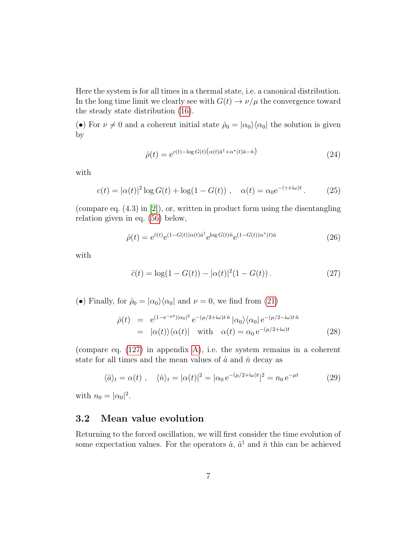Here the system is for all times in a thermal state, i.e. a canonical distribution. In the long time limit we clearly see with  $G(t) \to \nu/\mu$  the convergence toward the steady state distribution [\(16\)](#page-4-0).

(•) For  $\nu \neq 0$  and a coherent initial state  $\hat{\rho}_0 = |\alpha_0\rangle\langle\alpha_0|$  the solution is given by

<span id="page-6-1"></span>
$$
\hat{\rho}(t) = e^{c(t) - \log G(t) \left(\alpha(t)\hat{a}^\dagger + \alpha^*(t)\hat{a} - \hat{n}\right)}\tag{24}
$$

with

$$
c(t) = |\alpha(t)|^2 \log G(t) + \log(1 - G(t)), \quad \alpha(t) = \alpha_0 e^{-(\gamma + i\omega)t}.
$$
 (25)

(compare eq. (4.3) in [\[2\]](#page-22-1)), or, written in product form using the disentangling relation given in eq. [\(56\)](#page-10-1) below,

$$
\hat{\rho}(t) = e^{\tilde{c}(t)} e^{(1 - G(t))\alpha(t)\hat{a}^\dagger} e^{\log G(t)\hat{n}} e^{(1 - G(t))\alpha^*(t)\hat{a}}
$$
\n(26)

with

$$
\tilde{c}(t) = \log(1 - G(t)) - |\alpha(t)|^2 (1 - G(t)).
$$
\n(27)

(•) Finally, for  $\hat{\rho}_0 = |\alpha_0\rangle\langle\alpha_0|$  and  $\nu = 0$ , we find from [\(21\)](#page-5-2)

$$
\hat{\rho}(t) = e^{(1 - e^{-\mu t})|\alpha_0|^2} e^{-(\mu/2 + i\omega)t \hat{n}} |\alpha_0\rangle \langle \alpha_0| e^{-(\mu/2 - i\omega)t \hat{n}} \n= |\alpha(t)\rangle \langle \alpha(t)| \text{ with } \alpha(t) = \alpha_0 e^{-(\mu/2 + i\omega)t}
$$
\n(28)

(compare eq. [\(127\)](#page-21-0) in appendix [A\)](#page-20-0), i.e. the system remains in a coherent state for all times and the mean values of  $\hat{a}$  and  $\hat{n}$  decay as

<span id="page-6-0"></span>
$$
\langle \hat{a} \rangle_t = \alpha(t) , \quad \langle \hat{n} \rangle_t = |\alpha(t)|^2 = |\alpha_0 e^{-(\mu/2 + i\omega)t}|^2 = n_0 e^{-\mu t}
$$
 (29)

with  $n_0 = |\alpha_0|^2$ .

#### 3.2 Mean value evolution

Returning to the forced oscillation, we will first consider the time evolution of some expectation values. For the operators  $\hat{a}$ ,  $\hat{a}^{\dagger}$  and  $\hat{n}$  this can be achieved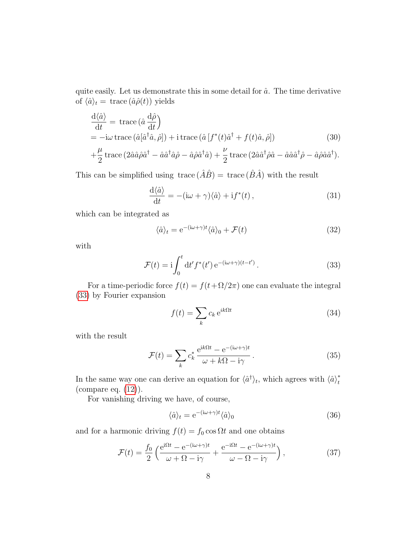quite easily. Let us demonstrate this in some detail for  $\hat{a}$ . The time derivative of  $\langle \hat{a} \rangle_t = \text{trace}(\hat{a}\hat{\rho}(t))$  yields

$$
\frac{d\langle \hat{a} \rangle}{dt} = \text{trace}\left(\hat{a}\frac{d\hat{\rho}}{dt}\right)
$$
  
=  $-\text{i}\omega$ trace\left(\hat{a}[\hat{a}^\dagger \hat{a}, \hat{\rho}]\right) + \text{i trace}\left(\hat{a}\left[f^\*(t)\hat{a}^\dagger + f(t)\hat{a}, \hat{\rho}\right]\right) (30)

$$
+\frac{\mu}{2}\operatorname{trace}\left(2\hat{a}\hat{a}\hat{\rho}\hat{a}^{\dagger}-\hat{a}\hat{a}^{\dagger}\hat{a}\hat{\rho}-\hat{a}\hat{\rho}\hat{a}^{\dagger}\hat{a}\right)+\frac{\nu}{2}\operatorname{trace}\left(2\hat{a}\hat{a}^{\dagger}\hat{\rho}\hat{a}-\hat{a}\hat{a}\hat{a}^{\dagger}\hat{\rho}-\hat{a}\hat{\rho}\hat{a}\hat{a}^{\dagger}\right).
$$

This can be simplified using trace  $(\hat{A}\hat{B}) = \text{trace}(\hat{B}\hat{A})$  with the result

<span id="page-7-2"></span>
$$
\frac{\mathrm{d}\langle \hat{a} \rangle}{\mathrm{d}t} = -(\mathrm{i}\omega + \gamma)\langle \hat{a} \rangle + \mathrm{i}f^*(t) , \qquad (31)
$$

which can be integrated as

<span id="page-7-1"></span>
$$
\langle \hat{a} \rangle_t = e^{-(i\omega + \gamma)t} \langle \hat{a} \rangle_0 + \mathcal{F}(t)
$$
\n(32)

with

<span id="page-7-0"></span>
$$
\mathcal{F}(t) = \mathbf{i} \int_0^t \mathrm{d}t' f^*(t') \, \mathrm{e}^{-(\mathbf{i}\omega + \gamma)(t - t')} \,. \tag{33}
$$

For a time-periodic force  $f(t) = f(t + \Omega/2\pi)$  one can evaluate the integral [\(33\)](#page-7-0) by Fourier expansion

$$
f(t) = \sum_{k} c_k e^{ik\Omega t}
$$
 (34)

with the result

$$
\mathcal{F}(t) = \sum_{k} c_k^* \frac{e^{ik\Omega t} - e^{-(i\omega + \gamma)t}}{\omega + k\Omega - i\gamma} \,. \tag{35}
$$

In the same way one can derive an equation for  $\langle \hat{a}^{\dagger} \rangle_t$ , which agrees with  $\langle \hat{a} \rangle_t^*$ t (compare eq. [\(12\)](#page-3-0)).

For vanishing driving we have, of course,

$$
\langle \hat{a} \rangle_t = e^{-(i\omega + \gamma)t} \langle \hat{a} \rangle_0 \tag{36}
$$

and for a harmonic driving  $f(t) = f_0 \cos \Omega t$  and one obtains

$$
\mathcal{F}(t) = \frac{f_0}{2} \left( \frac{e^{i\Omega t} - e^{-(i\omega + \gamma)t}}{\omega + \Omega - i\gamma} + \frac{e^{-i\Omega t} - e^{-(i\omega + \gamma)t}}{\omega - \Omega - i\gamma} \right),\tag{37}
$$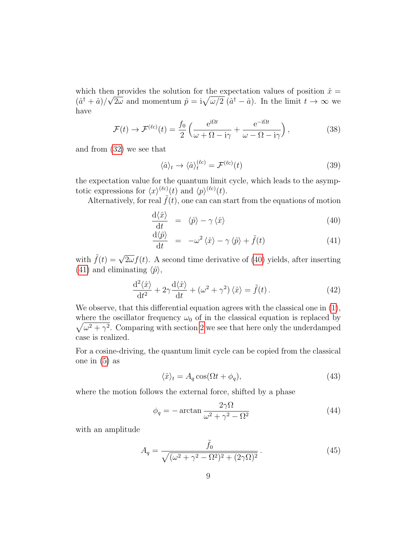which then provides the solution for the expectation values of position  $\hat{x} = (x^*, y^*)^T$  $(\hat{a}^\dagger + \hat{a})/\sqrt{2\omega}$  and momentum  $\hat{p} = i\sqrt{\omega/2} (\hat{a}^\dagger - \hat{a})$ . In the limit  $t \to \infty$  we have

$$
\mathcal{F}(t) \to \mathcal{F}^{(\ell c)}(t) = \frac{f_0}{2} \left( \frac{e^{i\Omega t}}{\omega + \Omega - i\gamma} + \frac{e^{-i\Omega t}}{\omega - \Omega - i\gamma} \right),\tag{38}
$$

and from [\(32\)](#page-7-1) we see that

<span id="page-8-1"></span>
$$
\langle \hat{a} \rangle_t \to \langle \hat{a} \rangle_t^{(\ell c)} = \mathcal{F}^{(\ell c)}(t) \tag{39}
$$

the expectation value for the quantum limit cycle, which leads to the asymptotic expressions for  $\langle x \rangle^{(\ell c)}(t)$  and  $\langle p \rangle^{(\ell c)}(t)$ .

Alternatively, for real  $\tilde{f}(t)$ , one can can start from the equations of motion

<span id="page-8-0"></span>
$$
\frac{\mathrm{d}\langle \hat{x} \rangle}{\mathrm{d}t} = \langle \hat{p} \rangle - \gamma \langle \hat{x} \rangle \tag{40}
$$

$$
\frac{\mathrm{d}\langle \hat{p} \rangle}{\mathrm{d}t} = -\omega^2 \langle \hat{x} \rangle - \gamma \langle \hat{p} \rangle + \tilde{f}(t) \tag{41}
$$

with  $\tilde{f}(t) = \sqrt{2\omega} f(t)$ . A second time derivative of [\(40\)](#page-8-0) yields, after inserting [\(41\)](#page-8-0) and eliminating  $\langle \hat{p} \rangle$ ,

$$
\frac{\mathrm{d}^2\langle\hat{x}\rangle}{\mathrm{d}t^2} + 2\gamma \frac{\mathrm{d}\langle\hat{x}\rangle}{\mathrm{d}t} + \left(\omega^2 + \gamma^2\right)\langle\hat{x}\rangle = \tilde{f}(t). \tag{42}
$$

We observe, that this differential equation agrees with the classical one in  $(1)$ , where the oscillator frequency  $\omega_0$  of in the classical equation is replaced by  $\sqrt{\omega^2 + \gamma^2}$ . Comparing with section [2](#page-1-3) we see that here only the underdamped case is realized.

For a cosine-driving, the quantum limit cycle can be copied from the classical one in [\(5\)](#page-2-1) as

<span id="page-8-2"></span>
$$
\langle \hat{x} \rangle_t = A_q \cos(\Omega t + \phi_q), \tag{43}
$$

where the motion follows the external force, shifted by a phase

$$
\phi_q = -\arctan\frac{2\gamma\Omega}{\omega^2 + \gamma^2 - \Omega^2} \tag{44}
$$

with an amplitude

$$
A_q = \frac{\tilde{f}_0}{\sqrt{(\omega^2 + \gamma^2 - \Omega^2)^2 + (2\gamma\Omega)^2}}.
$$
\n(45)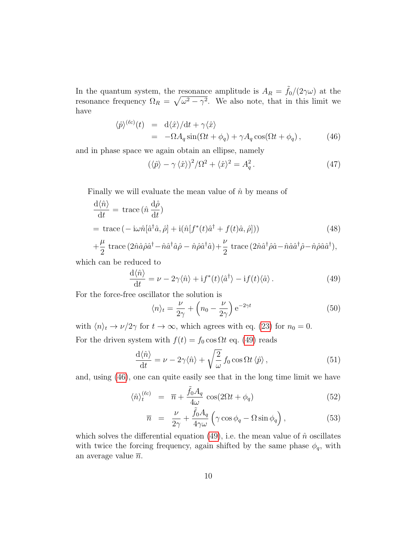In the quantum system, the resonance amplitude is  $A_R = \tilde{f}_0/(2\gamma\omega)$  at the resonance frequency  $\Omega_R = \sqrt{\omega^2 - \gamma^2}$ . We also note, that in this limit we have

<span id="page-9-1"></span>
$$
\langle \hat{p} \rangle^{(\ell c)}(t) = d \langle \hat{x} \rangle / dt + \gamma \langle \hat{x} \rangle \n= -\Omega A_q \sin(\Omega t + \phi_q) + \gamma A_q \cos(\Omega t + \phi_q) , \qquad (46)
$$

and in phase space we again obtain an ellipse, namely

<span id="page-9-3"></span>
$$
(\langle \hat{p} \rangle - \gamma \langle \hat{x} \rangle)^2 / \Omega^2 + \langle \hat{x} \rangle^2 = A_q^2.
$$
 (47)

Finally we will evaluate the mean value of  $\hat{n}$  by means of

$$
\frac{d\langle \hat{n} \rangle}{dt} = \text{trace} \left( \hat{n} \frac{d\hat{\rho}}{dt} \right)
$$
  
= trace  $( - i\omega \hat{n} [\hat{a}^\dagger \hat{a}, \hat{\rho}] + i(\hat{n} [f^*(t)\hat{a}^\dagger + f(t)\hat{a}, \hat{\rho}])$  (48)  
+  $\frac{\mu}{2}$  trace  $(2\hat{n}\hat{a}\hat{\rho}\hat{a}^\dagger - \hat{n}\hat{a}^\dagger \hat{a}\hat{\rho} - \hat{n}\hat{\rho}\hat{a}^\dagger \hat{a}) + \frac{\nu}{2}$  trace  $(2\hat{n}\hat{a}^\dagger \hat{\rho}\hat{a} - \hat{n}\hat{a}\hat{a}^\dagger \hat{\rho} - \hat{n}\hat{\rho}\hat{a}\hat{a}^\dagger),$ 

$$
+\frac{\mu}{2}\operatorname{trace}\left(2\hat{n}\hat{a}\hat{\rho}\hat{a}^{\dagger}-\hat{n}\hat{a}^{\dagger}\hat{a}\hat{\rho}-\hat{n}\hat{\rho}\hat{a}^{\dagger}\hat{a}\right)+\frac{\nu}{2}\operatorname{trace}\left(2\hat{n}\hat{a}^{\dagger}\hat{\rho}\hat{a}-\hat{n}\hat{a}\hat{a}^{\dagger}\hat{\rho}-\hat{n}\hat{\rho}\hat{a}\hat{a}^{\dagger}\right),
$$

which can be reduced to

<span id="page-9-0"></span>
$$
\frac{\mathrm{d}\langle \hat{n} \rangle}{\mathrm{d}t} = \nu - 2\gamma \langle \hat{n} \rangle + \mathrm{i} f^*(t) \langle \hat{a}^\dagger \rangle - \mathrm{i} f(t) \langle \hat{a} \rangle. \tag{49}
$$

For the force-free oscillator the solution is

$$
\langle n \rangle_t = \frac{\nu}{2\gamma} + \left( n_0 - \frac{\nu}{2\gamma} \right) e^{-2\gamma t}
$$
 (50)

with  $\langle n \rangle_t \to \nu/2\gamma$  for  $t \to \infty$ , which agrees with eq. [\(23\)](#page-5-3) for  $n_0 = 0$ . For the driven system with  $f(t) = f_0 \cos \Omega t$  eq. [\(49\)](#page-9-0) reads

$$
\frac{\mathrm{d}\langle \hat{n} \rangle}{\mathrm{d}t} = \nu - 2\gamma \langle \hat{n} \rangle + \sqrt{\frac{2}{\omega}} f_0 \cos \Omega t \langle \hat{p} \rangle, \qquad (51)
$$

and, using [\(46\)](#page-9-1), one can quite easily see that in the long time limit we have

<span id="page-9-2"></span>
$$
\langle \hat{n} \rangle_t^{(\ell c)} = \overline{n} + \frac{\tilde{f}_0 A_q}{4\omega} \cos(2\Omega t + \phi_q) \tag{52}
$$

$$
\overline{n} = \frac{\nu}{2\gamma} + \frac{\tilde{f}_0 A_q}{4\gamma \omega} \left( \gamma \cos \phi_q - \Omega \sin \phi_q \right), \tag{53}
$$

which solves the differential equation [\(49\)](#page-9-0), i.e. the mean value of  $\hat{n}$  oscillates with twice the forcing frequency, again shifted by the same phase  $\phi_q$ , with an average value  $\overline{n}$ .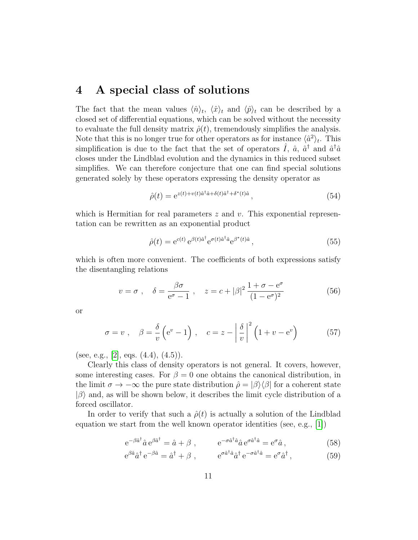#### <span id="page-10-0"></span>4 A special class of solutions

The fact that the mean values  $\langle \hat{n} \rangle_t$ ,  $\langle \hat{x} \rangle_t$  and  $\langle \hat{p} \rangle_t$  can be described by a closed set of differential equations, which can be solved without the necessity to evaluate the full density matrix  $\hat{\rho}(t)$ , tremendously simplifies the analysis. Note that this is no longer true for other operators as for instance  $\langle \hat{a}^2 \rangle_t$ . This simplification is due to the fact that the set of operators  $\hat{I}$ ,  $\hat{a}$ ,  $\hat{a}^{\dagger}$  and  $\hat{a}^{\dagger} \hat{a}$ closes under the Lindblad evolution and the dynamics in this reduced subset simplifies. We can therefore conjecture that one can find special solutions generated solely by these operators expressing the density operator as

$$
\hat{\rho}(t) = e^{z(t) + v(t)\hat{a}^\dagger \hat{a} + \delta(t)\hat{a}^\dagger + \delta^*(t)\hat{a}},\tag{54}
$$

which is Hermitian for real parameters  $z$  and  $v$ . This exponential representation can be rewritten as an exponential product

<span id="page-10-2"></span>
$$
\hat{\rho}(t) = e^{c(t)} e^{\beta(t)\hat{a}^\dagger} e^{\sigma(t)\hat{a}^\dagger \hat{a}} e^{\beta^*(t)\hat{a}}, \qquad (55)
$$

which is often more convenient. The coefficients of both expressions satisfy the disentangling relations

<span id="page-10-1"></span>
$$
v = \sigma , \quad \delta = \frac{\beta \sigma}{e^{\sigma} - 1} , \quad z = c + |\beta|^2 \frac{1 + \sigma - e^{\sigma}}{(1 - e^{\sigma})^2}
$$
(56)

or

$$
\sigma = v \ , \quad \beta = \frac{\delta}{v} \left( e^v - 1 \right) \ , \quad c = z - \left| \frac{\delta}{v} \right|^2 \left( 1 + v - e^v \right) \tag{57}
$$

(see, e.g., [\[2\]](#page-22-1), eqs.  $(4.4)$ ,  $(4.5)$ ).

Clearly this class of density operators is not general. It covers, however, some interesting cases. For  $\beta = 0$  one obtains the canonical distribution, in the limit  $\sigma \to -\infty$  the pure state distribution  $\hat{\rho} = |\beta\rangle\langle\beta|$  for a coherent state  $|\beta\rangle$  and, as will be shown below, it describes the limit cycle distribution of a forced oscillator.

In order to verify that such a  $\hat{\rho}(t)$  is actually a solution of the Lindblad equation we start from the well known operator identities (see, e.g., [\[1\]](#page-22-0))

<span id="page-10-3"></span>
$$
e^{-\beta \hat{a}^{\dagger}} \hat{a} e^{\beta \hat{a}^{\dagger}} = \hat{a} + \beta , \qquad e^{-\sigma \hat{a}^{\dagger} \hat{a}} \hat{a} e^{\sigma \hat{a}^{\dagger} \hat{a}} = e^{\sigma} \hat{a} , \qquad (58)
$$

$$
e^{\beta \hat{a}} \hat{a}^{\dagger} e^{-\beta \hat{a}} = \hat{a}^{\dagger} + \beta , \qquad e^{\sigma \hat{a}^{\dagger} \hat{a}} \hat{a}^{\dagger} e^{-\sigma \hat{a}^{\dagger} \hat{a}} = e^{\sigma} \hat{a}^{\dagger} , \qquad (59)
$$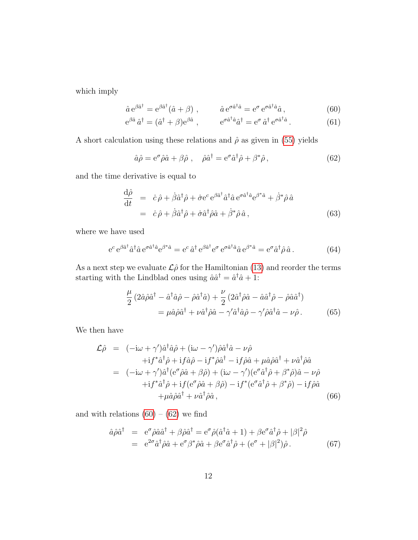which imply

<span id="page-11-0"></span>
$$
\hat{a} e^{\beta \hat{a}^\dagger} = e^{\beta \hat{a}^\dagger} (\hat{a} + \beta) , \qquad \hat{a} e^{\sigma \hat{a}^\dagger \hat{a}} = e^{\sigma} e^{\sigma \hat{a}^\dagger \hat{a}} \hat{a} , \qquad (60)
$$

$$
e^{\beta \hat{a}} \hat{a}^{\dagger} = (\hat{a}^{\dagger} + \beta)e^{\beta \hat{a}} , \qquad e^{\sigma \hat{a}^{\dagger} \hat{a}} \hat{a}^{\dagger} = e^{\sigma} \hat{a}^{\dagger} e^{\sigma \hat{a}^{\dagger} \hat{a}} . \qquad (61)
$$

A short calculation using these relations and  $\hat{\rho}$  as given in [\(55\)](#page-10-2) yields

<span id="page-11-1"></span>
$$
\hat{a}\hat{\rho} = e^{\sigma}\hat{\rho}\hat{a} + \beta\hat{\rho} \ , \quad \hat{\rho}\hat{a}^{\dagger} = e^{\sigma}\hat{a}^{\dagger}\hat{\rho} + \beta^{*}\hat{\rho} \,, \tag{62}
$$

and the time derivative is equal to

<span id="page-11-2"></span>
$$
\frac{d\hat{\rho}}{dt} = \dot{c}\hat{\rho} + \dot{\beta}\hat{a}^{\dagger}\hat{\rho} + \dot{\sigma}e^{c}e^{\beta\hat{a}^{\dagger}}\hat{a}^{\dagger}\hat{a}e^{\sigma\hat{a}^{\dagger}\hat{a}}e^{\beta^{*}\hat{a}} + \dot{\beta}^{*}\hat{\rho}\hat{a} \n= \dot{c}\hat{\rho} + \dot{\beta}\hat{a}^{\dagger}\hat{\rho} + \dot{\sigma}\hat{a}^{\dagger}\hat{\rho}\hat{a} + \dot{\beta}^{*}\hat{\rho}\hat{a},
$$
\n(63)

where we have used

$$
e^c e^{\beta \hat{a}^\dagger} \hat{a}^\dagger \hat{a} e^{\sigma \hat{a}^\dagger \hat{a}} e^{\beta^* \hat{a}} = e^c \hat{a}^\dagger e^{\beta \hat{a}^\dagger} e^{\sigma} e^{\sigma \hat{a}^\dagger \hat{a}} \hat{a} e^{\beta^* \hat{a}} = e^{\sigma} \hat{a}^\dagger \hat{\rho} \hat{a}.
$$
 (64)

As a next step we evaluate  $\mathcal{L}\hat{\rho}$  for the Hamiltonian [\(13\)](#page-3-1) and reorder the terms starting with the Lindblad ones using  $\hat{a}\hat{a}^{\dagger} = \hat{a}^{\dagger}\hat{a} + 1$ :

$$
\frac{\mu}{2} (2\hat{a}\hat{\rho}\hat{a}^{\dagger} - \hat{a}^{\dagger}\hat{a}\hat{\rho} - \hat{\rho}\hat{a}^{\dagger}\hat{a}) + \frac{\nu}{2} (2\hat{a}^{\dagger}\hat{\rho}\hat{a} - \hat{a}\hat{a}^{\dagger}\hat{\rho} - \hat{\rho}\hat{a}\hat{a}^{\dagger})
$$
  

$$
= \mu \hat{a}\hat{\rho}\hat{a}^{\dagger} + \nu \hat{a}^{\dagger}\hat{\rho}\hat{a} - \gamma'\hat{a}^{\dagger}\hat{a}\hat{\rho} - \gamma'\hat{\rho}\hat{a}^{\dagger}\hat{a} - \nu\hat{\rho}.
$$
 (65)

We then have

$$
\mathcal{L}\hat{\rho} = (-i\omega + \gamma')\hat{a}^{\dagger}\hat{a}\hat{\rho} + (i\omega - \gamma')\hat{\rho}\hat{a}^{\dagger}\hat{a} - \nu\hat{\rho} \n+if^{*}\hat{a}^{\dagger}\hat{\rho} + if\hat{a}\hat{\rho} - if^{*}\hat{\rho}\hat{a}^{\dagger} - if\hat{\rho}\hat{a} + \mu\hat{a}\hat{\rho}\hat{a}^{\dagger} + \nu\hat{a}^{\dagger}\hat{\rho}\hat{a} \n= (-i\omega + \gamma')\hat{a}^{\dagger}(e^{\sigma}\hat{\rho}\hat{a} + \beta\hat{\rho}) + (i\omega - \gamma')(e^{\sigma}\hat{a}^{\dagger}\hat{\rho} + \beta^{*}\hat{\rho})\hat{a} - \nu\hat{\rho} \n+if^{*}\hat{a}^{\dagger}\hat{\rho} + if(e^{\sigma}\hat{\rho}\hat{a} + \beta\hat{\rho}) - if^{*}(e^{\sigma}\hat{a}^{\dagger}\hat{\rho} + \beta^{*}\hat{\rho}) - if\hat{\rho}\hat{a} \n+ \mu\hat{a}\hat{\rho}\hat{a}^{\dagger} + \nu\hat{a}^{\dagger}\hat{\rho}\hat{a},
$$
\n(66)

and with relations  $(60) - (62)$  $(60) - (62)$  $(60) - (62)$  we find

$$
\hat{a}\hat{\rho}\hat{a}^{\dagger} = e^{\sigma}\hat{\rho}\hat{a}\hat{a}^{\dagger} + \beta\hat{\rho}\hat{a}^{\dagger} = e^{\sigma}\hat{\rho}(\hat{a}^{\dagger}\hat{a} + 1) + \beta e^{\sigma}\hat{a}^{\dagger}\hat{\rho} + |\beta|^2\hat{\rho}
$$
  
=  $e^{2\sigma}\hat{a}^{\dagger}\hat{\rho}\hat{a} + e^{\sigma}\beta^*\hat{\rho}\hat{a} + \beta e^{\sigma}\hat{a}^{\dagger}\hat{\rho} + (e^{\sigma} + |\beta|^2)\hat{\rho}.$  (67)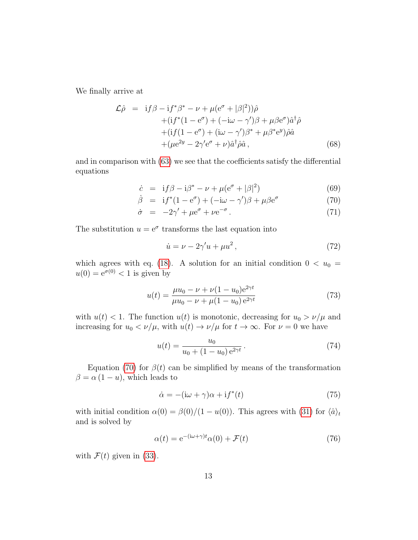We finally arrive at

$$
\mathcal{L}\hat{\rho} = i f \beta - i f^* \beta^* - \nu + \mu (e^{\sigma} + |\beta|^2) \hat{\rho} \n+ (i f^* (1 - e^{\sigma}) + (-i\omega - \gamma') \beta + \mu \beta e^{\sigma}) \hat{a}^{\dagger} \hat{\rho} \n+ (i f (1 - e^{\sigma}) + (i\omega - \gamma') \beta^* + \mu \beta^* e^y) \hat{\rho} \hat{a} \n+ (\mu e^{2y} - 2\gamma' e^{\sigma} + \nu) \hat{a}^{\dagger} \hat{\rho} \hat{a} ,
$$
\n(68)

and in comparison with [\(63\)](#page-11-2) we see that the coefficients satisfy the differential equations

<span id="page-12-0"></span>
$$
\dot{c} = \text{if}\,\beta - \text{i}\beta^* - \nu + \mu(\text{e}^{\sigma} + |\beta|^2) \tag{69}
$$

$$
\dot{\beta} = \mathrm{i} f^*(1 - \mathrm{e}^{\sigma}) + (-\mathrm{i}\omega - \gamma')\beta + \mu\beta \mathrm{e}^{\sigma} \tag{70}
$$

$$
\dot{\sigma} = -2\gamma' + \mu e^{\sigma} + \nu e^{-\sigma}.
$$
\n(71)

The substitution  $u = e^{\sigma}$  transforms the last equation into

$$
\dot{u} = \nu - 2\gamma' u + \mu u^2, \qquad (72)
$$

which agrees with eq. [\(18\)](#page-5-4). A solution for an initial condition  $0 < u_0 =$  $u(0) = e^{\sigma(0)} < 1$  is given by

<span id="page-12-2"></span>
$$
u(t) = \frac{\mu u_0 - \nu + \nu (1 - u_0) e^{2\gamma t}}{\mu u_0 - \nu + \mu (1 - u_0) e^{2\gamma t}}
$$
(73)

with  $u(t) < 1$ . The function  $u(t)$  is monotonic, decreasing for  $u_0 > \nu/\mu$  and increasing for  $u_0 < \nu/\mu$ , with  $u(t) \to \nu/\mu$  for  $t \to \infty$ . For  $\nu = 0$  we have

<span id="page-12-3"></span>
$$
u(t) = \frac{u_0}{u_0 + (1 - u_0) e^{2\gamma t}}.
$$
\n(74)

Equation [\(70\)](#page-12-0) for  $\beta(t)$  can be simplified by means of the transformation  $\beta = \alpha (1 - u)$ , which leads to

<span id="page-12-1"></span>
$$
\dot{\alpha} = -(\mathrm{i}\omega + \gamma)\alpha + \mathrm{i}f^*(t) \tag{75}
$$

with initial condition  $\alpha(0) = \beta(0)/(1 - u(0))$ . This agrees with [\(31\)](#page-7-2) for  $\langle \hat{a} \rangle_t$ and is solved by

$$
\alpha(t) = e^{-(i\omega + \gamma)t} \alpha(0) + \mathcal{F}(t)
$$
\n(76)

with  $\mathcal{F}(t)$  given in [\(33\)](#page-7-0).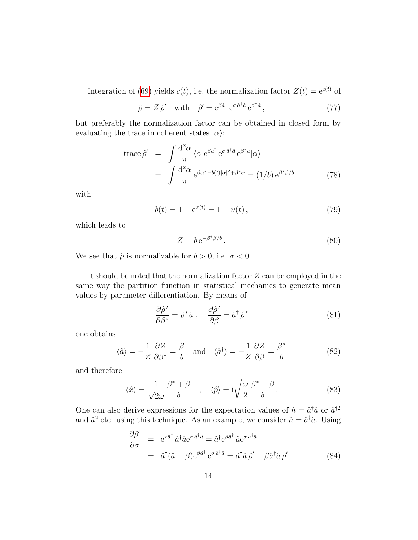Integration of [\(69\)](#page-12-0) yields  $c(t)$ , i.e. the normalization factor  $Z(t) = e^{c(t)}$  of

$$
\hat{\rho} = Z \hat{\rho}' \quad \text{with} \quad \hat{\rho}' = e^{\beta \hat{a}^\dagger} e^{\sigma \hat{a}^\dagger \hat{a}} e^{\beta^* \hat{a}}, \tag{77}
$$

but preferably the normalization factor can be obtained in closed form by evaluating the trace in coherent states  $|\alpha\rangle$ :

trace 
$$
\hat{\rho}' = \int \frac{d^2 \alpha}{\pi} \langle \alpha | e^{\beta \hat{a}^\dagger} e^{\sigma \hat{a}^\dagger \hat{a}} e^{\beta^* \hat{a}} | \alpha \rangle
$$
  
=  $\int \frac{d^2 \alpha}{\pi} e^{\beta \alpha^* - b(t) |\alpha|^2 + \beta^* \alpha} = (1/b) e^{\beta^* \beta/b}$  (78)

with

$$
b(t) = 1 - e^{\sigma(t)} = 1 - u(t),
$$
\n(79)

which leads to

<span id="page-13-0"></span>
$$
Z = b e^{-\beta^* \beta/b}.
$$
 (80)

We see that  $\hat{\rho}$  is normalizable for  $b > 0$ , i.e.  $\sigma < 0$ .

It should be noted that the normalization factor  $Z$  can be employed in the same way the partition function in statistical mechanics to generate mean values by parameter differentiation. By means of

$$
\frac{\partial \hat{\rho}'}{\partial \beta^*} = \hat{\rho}' \hat{a} , \quad \frac{\partial \hat{\rho}'}{\partial \beta} = \hat{a}^\dagger \hat{\rho}' \tag{81}
$$

one obtains

<span id="page-13-1"></span>
$$
\langle \hat{a} \rangle = -\frac{1}{Z} \frac{\partial Z}{\partial \beta^*} = \frac{\beta}{b} \quad \text{and} \quad \langle \hat{a}^\dagger \rangle = -\frac{1}{Z} \frac{\partial Z}{\partial \beta} = \frac{\beta^*}{b} \tag{82}
$$

and therefore

$$
\langle \hat{x} \rangle = \frac{1}{\sqrt{2\omega}} \frac{\beta^* + \beta}{b} , \quad \langle \hat{p} \rangle = i \sqrt{\frac{\omega}{2}} \frac{\beta^* - \beta}{b} . \tag{83}
$$

One can also derive expressions for the expectation values of  $\hat{n} = \hat{a}^\dagger \hat{a}$  or  $\hat{a}^{\dagger 2}$ and  $\hat{a}^2$  etc. using this technique. As an example, we consider  $\hat{n} = \hat{a}^\dagger \hat{a}$ . Using

$$
\frac{\partial \hat{\rho}'}{\partial \sigma} = e^{x\hat{a}^\dagger} \hat{a}^\dagger \hat{a} e^{\sigma \hat{a}^\dagger \hat{a}} = \hat{a}^\dagger e^{\beta \hat{a}^\dagger} \hat{a} e^{\sigma \hat{a}^\dagger \hat{a}}
$$
  
=  $\hat{a}^\dagger (\hat{a} - \beta) e^{\beta \hat{a}^\dagger} e^{\sigma \hat{a}^\dagger \hat{a}} = \hat{a}^\dagger \hat{a} \hat{\rho}' - \beta \hat{a}^\dagger \hat{a} \hat{\rho}'$  (84)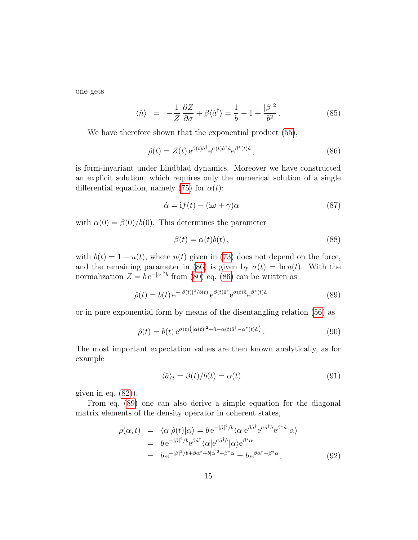one gets

<span id="page-14-3"></span>
$$
\langle \hat{n} \rangle = -\frac{1}{Z} \frac{\partial Z}{\partial \sigma} + \beta \langle \hat{a}^{\dagger} \rangle = \frac{1}{b} - 1 + \frac{|\beta|^2}{b^2}.
$$
 (85)

We have therefore shown that the exponential product [\(55\)](#page-10-2),

<span id="page-14-0"></span>
$$
\hat{\rho}(t) = Z(t) e^{\beta(t)\hat{a}^\dagger} e^{\sigma(t)\hat{a}^\dagger \hat{a}} e^{\beta^*(t)\hat{a}}, \tag{86}
$$

is form-invariant under Lindblad dynamics. Moreover we have constructed an explicit solution, which requires only the numerical solution of a single differential equation, namely [\(75\)](#page-12-1) for  $\alpha(t)$ :

$$
\dot{\alpha} = \text{i}f(t) - (\text{i}\omega + \gamma)\alpha \tag{87}
$$

with  $\alpha(0) = \beta(0)/b(0)$ . This determines the parameter

$$
\beta(t) = \alpha(t)b(t),\tag{88}
$$

with  $b(t) = 1 - u(t)$ , where  $u(t)$  given in [\(73\)](#page-12-2) does not depend on the force, and the remaining parameter in [\(86\)](#page-14-0) is given by  $\sigma(t) = \ln u(t)$ . With the normalization  $Z = be^{-|\alpha|^2 b}$  from [\(80\)](#page-13-0) eq. [\(86\)](#page-14-0) can be written as

<span id="page-14-1"></span>
$$
\hat{\rho}(t) = b(t) e^{-|\beta(t)|^2/b(t)} e^{\beta(t)\hat{a}^\dagger} e^{\sigma(t)\hat{n}} e^{\beta^*(t)\hat{a}}
$$
\n(89)

or in pure exponential form by means of the disentangling relation [\(56\)](#page-10-1) as

<span id="page-14-4"></span>
$$
\hat{\rho}(t) = b(t) e^{\sigma(t) \left( |\alpha(t)|^2 + \hat{n} - \alpha(t)\hat{a}^\dagger - \alpha^*(t)\hat{a} \right)}.
$$
\n(90)

The most important expectation values are then known analytically, as for example

<span id="page-14-5"></span>
$$
\langle \hat{a} \rangle_t = \beta(t) / b(t) = \alpha(t) \tag{91}
$$

given in eq.  $(82)$ ).

From eq. [\(89\)](#page-14-1) one can also derive a simple equation for the diagonal matrix elements of the density operator in coherent states,

<span id="page-14-2"></span>
$$
\rho(\alpha, t) = \langle \alpha | \hat{\rho}(t) | \alpha \rangle = b e^{-|\beta|^2/b} \langle \alpha | e^{\beta \hat{a}^\dagger} e^{\sigma \hat{a}^\dagger \hat{a}} e^{\beta^* \hat{a}} | \alpha \rangle \n= b e^{-|\beta|^2/b} e^{\beta \hat{a}^\dagger} \langle \alpha | e^{\sigma \hat{a}^\dagger \hat{a}} | \alpha \rangle e^{\beta^* \alpha} \n= b e^{-|\beta|^2/b + \beta \alpha^* + b |\alpha|^2 + \beta^* \alpha} = b e^{\beta \alpha^* + \beta^* \alpha},
$$
\n(92)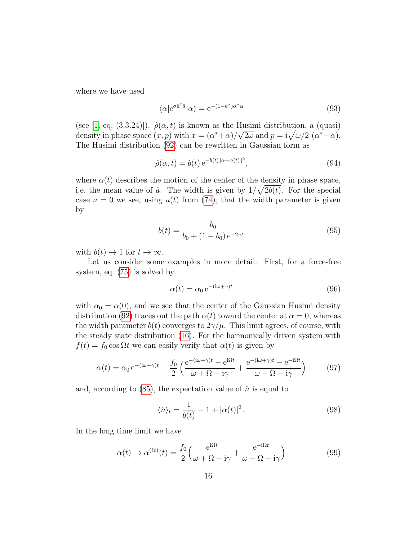where we have used

$$
\langle \alpha | e^{\sigma \hat{a}^\dagger \hat{a}} | \alpha \rangle = e^{-(1 - e^{\sigma})\alpha^* \alpha} \tag{93}
$$

(see [\[1,](#page-22-0) eq. (3.3.24)]).  $\hat{\rho}(\alpha, t)$  is known as the Husimi distribution, a (quasi) density in phase space  $(x, p)$  with  $x = (\alpha^* + \alpha)/\sqrt{2\omega}$  and  $p = i\sqrt{\omega/2} (\alpha^* - \alpha)$ . The Husimi distribution [\(92\)](#page-14-2) can be rewritten in Gaussian form as

$$
\hat{\rho}(\alpha, t) = b(t) e^{-b(t)|\alpha - \alpha(t)|^2}, \qquad (94)
$$

where  $\alpha(t)$  describes the motion of the center of the density in phase space, i.e. the mean value of  $\hat{a}$ . The width is given by  $1/\sqrt{2b(t)}$ . For the special case  $\nu = 0$  we see, using  $u(t)$  from [\(74\)](#page-12-3), that the width parameter is given by

$$
b(t) = \frac{b_0}{b_0 + (1 - b_0)e^{-2\gamma t}}
$$
\n(95)

with  $b(t) \to 1$  for  $t \to \infty$ .

Let us consider some examples in more detail. First, for a force-free system, eq. [\(75\)](#page-12-1) is solved by

$$
\alpha(t) = \alpha_0 e^{-(i\omega + \gamma)t} \tag{96}
$$

with  $\alpha_0 = \alpha(0)$ , and we see that the center of the Gaussian Husimi density distribution [\(92\)](#page-14-2) traces out the path  $\alpha(t)$  toward the center at  $\alpha = 0$ , whereas the width parameter  $b(t)$  converges to  $2\gamma/\mu$ . This limit agrees, of course, with the steady state distribution [\(16\)](#page-4-0). For the harmonically driven system with  $f(t) = f_0 \cos \Omega t$  we can easily verify that  $\alpha(t)$  is given by

$$
\alpha(t) = \alpha_0 e^{-(i\omega + \gamma)t} - \frac{f_0}{2} \left( \frac{e^{-(i\omega + \gamma)t} - e^{i\Omega t}}{\omega + \Omega - i\gamma} + \frac{e^{-(i\omega + \gamma)t} - e^{-i\Omega t}}{\omega - \Omega - i\gamma} \right)
$$
(97)

and, according to  $(85)$ , the expectation value of  $\hat{n}$  is equal to

$$
\langle \hat{n} \rangle_t = \frac{1}{b(t)} - 1 + |\alpha(t)|^2. \tag{98}
$$

In the long time limit we have

$$
\alpha(t) \to \alpha^{(\ell c)}(t) = \frac{f_0}{2} \left( \frac{e^{i\Omega t}}{\omega + \Omega - i\gamma} + \frac{e^{-i\Omega t}}{\omega - \Omega - i\gamma} \right)
$$
(99)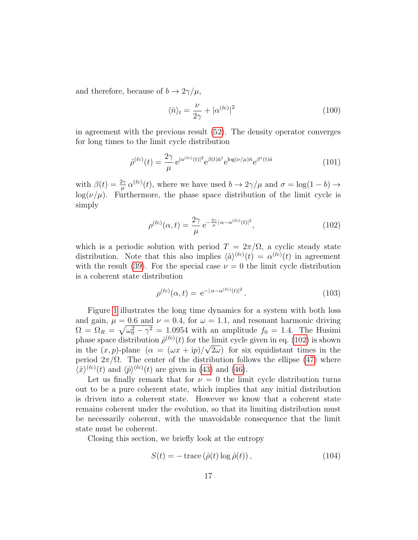and therefore, because of  $b \to 2\gamma/\mu$ ,

$$
\langle \hat{n} \rangle_t = \frac{\nu}{2\gamma} + |\alpha^{(\ell c)}|^2 \tag{100}
$$

in agreement with the previous result [\(52\)](#page-9-2). The density operator converges for long times to the limit cycle distribution

$$
\hat{\rho}^{(\ell c)}(t) = \frac{2\gamma}{\mu} e^{|\alpha^{(\ell c)}(t)|^2} e^{\beta(t)\hat{a}^\dagger} e^{\log(\nu/\mu)\hat{n}} e^{\beta^*(t)\hat{a}}
$$
\n(101)

with  $\beta(t) = \frac{2\gamma}{\mu} \alpha^{(\ell c)}(t)$ , where we have used  $b \to 2\gamma/\mu$  and  $\sigma = \log(1 - b) \to$  $log(\nu/\mu)$ . Furthermore, the phase space distribution of the limit cycle is simply

<span id="page-16-0"></span>
$$
\rho^{(\ell c)}(\alpha, t) = \frac{2\gamma}{\mu} e^{-\frac{2\gamma}{\mu}|\alpha - \alpha^{(\ell c)}(t)|^2},\tag{102}
$$

which is a periodic solution with period  $T = 2\pi/\Omega$ , a cyclic steady state distribution. Note that this also implies  $\langle \hat{a} \rangle^{(l c)}(t) = \alpha^{(l c)}(t)$  in agreement with the result [\(39\)](#page-8-1). For the special case  $\nu = 0$  the limit cycle distribution is a coherent state distribution

$$
\rho^{(\ell c)}(\alpha, t) = e^{-|\alpha - \alpha^{(\ell c)}(t)|^2}.
$$
\n(103)

Figure [1](#page-17-0) illustrates the long time dynamics for a system with both loss and gain,  $\mu = 0.6$  and  $\nu = 0.4$ , for  $\omega = 1.1$ , and resonant harmonic driving  $\Omega = \Omega_R = \sqrt{\omega_0^2 - \gamma^2} = 1.0954$  with an amplitude  $f_0 = 1.4$ . The Husimi phase space distribution  $\hat{\rho}^{(\ell c)}(t)$  for the limit cycle given in eq. [\(102\)](#page-16-0) is shown in the  $(x, p)$ -plane  $(\alpha = (\omega x + \mathrm{i} p)/\sqrt{2\omega})$  for six equidistant times in the period  $2\pi/\Omega$ . The center of the distribution follows the ellipse [\(47\)](#page-9-3) where  $\langle \hat{x} \rangle^{(\ell c)}(t)$  and  $\langle \hat{p} \rangle^{(\ell c)}(t)$  are given in [\(43\)](#page-8-2) and [\(46\)](#page-9-1).

Let us finally remark that for  $\nu = 0$  the limit cycle distribution turns out to be a pure coherent state, which implies that any initial distribution is driven into a coherent state. However we know that a coherent state remains coherent under the evolution, so that its limiting distribution must be necessarily coherent, with the unavoidable consequence that the limit state must be coherent.

Closing this section, we briefly look at the entropy

$$
S(t) = -\operatorname{trace}\left(\hat{\rho}(t)\log\hat{\rho}(t)\right),\tag{104}
$$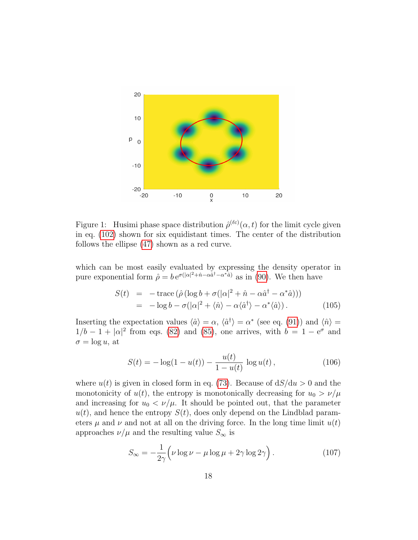

<span id="page-17-0"></span>Figure 1: Husimi phase space distribution  $\hat{\rho}^{(\ell c)}(\alpha, t)$  for the limit cycle given in eq. [\(102\)](#page-16-0) shown for six equidistant times. The center of the distribution follows the ellipse [\(47\)](#page-9-3) shown as a red curve.

which can be most easily evaluated by expressing the density operator in pure exponential form  $\hat{\rho} = b e^{\sigma(|\alpha|^2 + \hat{n} - \alpha \hat{a}^\dagger - \alpha^* \hat{a})}$  as in [\(90\)](#page-14-4). We then have

$$
S(t) = -\operatorname{trace} (\hat{\rho} (\log b + \sigma(|\alpha|^2 + \hat{n} - \alpha \hat{a}^\dagger - \alpha^* \hat{a})))
$$
  
= -\log b - \sigma(|\alpha|^2 + \langle \hat{n} \rangle - \alpha \langle \hat{a}^\dagger \rangle - \alpha^\* \langle \hat{a} \rangle). (105)

Inserting the expectation values  $\langle \hat{a} \rangle = \alpha$ ,  $\langle \hat{a}^{\dagger} \rangle = \alpha^*$  (see eq. [\(91\)](#page-14-5)) and  $\langle \hat{n} \rangle =$  $1/b - 1 + |\alpha|^2$  from eqs. [\(82\)](#page-13-1) and [\(85\)](#page-14-3), one arrives, with  $b = 1 - e^{\sigma}$  and  $\sigma = \log u$ , at

$$
S(t) = -\log(1 - u(t)) - \frac{u(t)}{1 - u(t)} \log u(t), \qquad (106)
$$

where  $u(t)$  is given in closed form in eq. [\(73\)](#page-12-2). Because of  $dS/du > 0$  and the monotonicity of  $u(t)$ , the entropy is monotonically decreasing for  $u_0 > \nu/\mu$ and increasing for  $u_0 < \nu/\mu$ . It should be pointed out, that the parameter  $u(t)$ , and hence the entropy  $S(t)$ , does only depend on the Lindblad parameters  $\mu$  and  $\nu$  and not at all on the driving force. In the long time limit  $u(t)$ approaches  $\nu/\mu$  and the resulting value  $S_{\infty}$  is

$$
S_{\infty} = -\frac{1}{2\gamma} \left( \nu \log \nu - \mu \log \mu + 2\gamma \log 2\gamma \right). \tag{107}
$$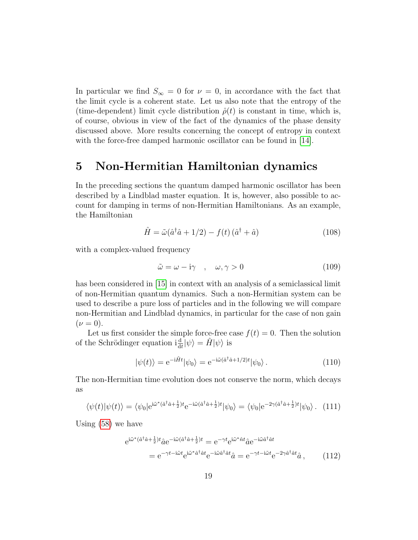In particular we find  $S_{\infty} = 0$  for  $\nu = 0$ , in accordance with the fact that the limit cycle is a coherent state. Let us also note that the entropy of the (time-dependent) limit cycle distribution  $\hat{\rho}(t)$  is constant in time, which is, of course, obvious in view of the fact of the dynamics of the phase density discussed above. More results concerning the concept of entropy in context with the force-free damped harmonic oscillator can be found in [\[14\]](#page-23-5).

#### <span id="page-18-0"></span>5 Non-Hermitian Hamiltonian dynamics

In the preceding sections the quantum damped harmonic oscillator has been described by a Lindblad master equation. It is, however, also possible to account for damping in terms of non-Hermitian Hamiltonians. As an example, the Hamiltonian

$$
\hat{H} = \tilde{\omega}(\hat{a}^\dagger \hat{a} + 1/2) - f(t)(\hat{a}^\dagger + \hat{a})
$$
\n(108)

with a complex-valued frequency

$$
\tilde{\omega} = \omega - i\gamma \quad , \quad \omega, \gamma > 0 \tag{109}
$$

has been considered in [\[15\]](#page-23-6) in context with an analysis of a semiclassical limit of non-Hermitian quantum dynamics. Such a non-Hermitian system can be used to describe a pure loss of particles and in the following we will compare non-Hermitian and Lindblad dynamics, in particular for the case of non gain  $(\nu = 0).$ 

Let us first consider the simple force-free case  $f(t) = 0$ . Then the solution of the Schrödinger equation  $i \frac{d}{dt} |\psi\rangle = \hat{H} |\psi\rangle$  is

$$
|\psi(t)\rangle = e^{-i\hat{H}t}|\psi_0\rangle = e^{-i\tilde{\omega}(\hat{a}^\dagger\hat{a} + 1/2)t}|\psi_0\rangle.
$$
 (110)

The non-Hermitian time evolution does not conserve the norm, which decays as

$$
\langle \psi(t) | \psi(t) \rangle = \langle \psi_0 | e^{i\tilde{\omega}^*(\hat{a}^\dagger \hat{a} + \frac{1}{2})t} e^{-i\tilde{\omega}(\hat{a}^\dagger \hat{a} + \frac{1}{2})t} | \psi_0 \rangle = \langle \psi_0 | e^{-2\gamma(\hat{a}^\dagger \hat{a} + \frac{1}{2})t} | \psi_0 \rangle. \tag{111}
$$

Using [\(58\)](#page-10-3) we have

$$
e^{i\tilde{\omega}^*(\hat{a}^{\dagger}\hat{a}+\frac{1}{2})t}\hat{a}e^{-i\tilde{\omega}(\hat{a}^{\dagger}\hat{a}+\frac{1}{2})t} = e^{-\gamma t}e^{i\tilde{\omega}^*\hat{n}t}\hat{a}e^{-i\tilde{\omega}\hat{a}^{\dagger}\hat{a}t}
$$

$$
= e^{-\gamma t - i\tilde{\omega}t}e^{i\tilde{\omega}^*\hat{a}^{\dagger}\hat{a}t}e^{-i\tilde{\omega}\hat{a}^{\dagger}\hat{a}t}\hat{a} = e^{-\gamma t - i\tilde{\omega}t}e^{-2\gamma\hat{a}^{\dagger}\hat{a}t}\hat{a}, \qquad (112)
$$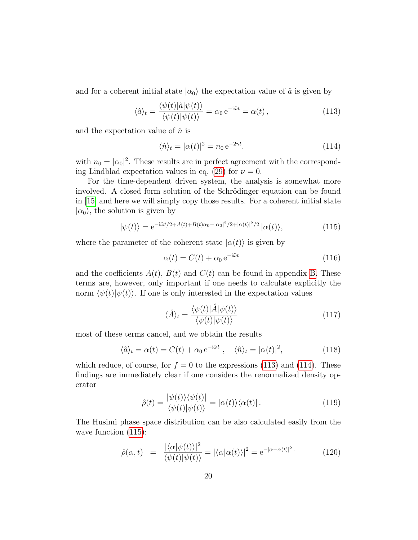and for a coherent initial state  $|\alpha_0\rangle$  the expectation value of  $\hat{a}$  is given by

<span id="page-19-0"></span>
$$
\langle \hat{a} \rangle_t = \frac{\langle \psi(t) | \hat{a} | \psi(t) \rangle}{\langle \psi(t) | \psi(t) \rangle} = \alpha_0 e^{-i\tilde{\omega}t} = \alpha(t) , \qquad (113)
$$

and the expectation value of  $\hat{n}$  is

<span id="page-19-1"></span>
$$
\langle \hat{n} \rangle_t = |\alpha(t)|^2 = n_0 e^{-2\gamma t}.
$$
\n(114)

with  $n_0 = |\alpha_0|^2$ . These results are in perfect agreement with the correspond-ing Lindblad expectation values in eq. [\(29\)](#page-6-0) for  $\nu = 0$ .

For the time-dependent driven system, the analysis is somewhat more involved. A closed form solution of the Schrödinger equation can be found in [\[15\]](#page-23-6) and here we will simply copy those results. For a coherent initial state  $|\alpha_0\rangle$ , the solution is given by

<span id="page-19-2"></span>
$$
|\psi(t)\rangle = e^{-i\tilde{\omega}t/2 + A(t) + B(t)\alpha_0 - |\alpha_0|^2/2 + |\alpha(t)|^2/2} |\alpha(t)\rangle,
$$
\n(115)

where the parameter of the coherent state  $|\alpha(t)\rangle$  is given by

$$
\alpha(t) = C(t) + \alpha_0 e^{-i\tilde{\omega}t}
$$
\n(116)

and the coefficients  $A(t)$ ,  $B(t)$  and  $C(t)$  can be found in appendix [B.](#page-21-1) These terms are, however, only important if one needs to calculate explicitly the norm  $\langle \psi(t)|\psi(t)\rangle$ . If one is only interested in the expectation values

$$
\langle \hat{A} \rangle_t = \frac{\langle \psi(t) | \hat{A} | \psi(t) \rangle}{\langle \psi(t) | \psi(t) \rangle} \tag{117}
$$

most of these terms cancel, and we obtain the results

$$
\langle \hat{a} \rangle_t = \alpha(t) = C(t) + \alpha_0 e^{-i\tilde{\omega}t} , \quad \langle \hat{n} \rangle_t = |\alpha(t)|^2, \tag{118}
$$

which reduce, of course, for  $f = 0$  to the expressions [\(113\)](#page-19-0) and [\(114\)](#page-19-1). These findings are immediately clear if one considers the renormalized density operator

$$
\hat{\rho}(t) = \frac{|\psi(t)\rangle\langle\psi(t)|}{\langle\psi(t)|\psi(t)\rangle} = |\alpha(t)\rangle\langle\alpha(t)|.
$$
\n(119)

The Husimi phase space distribution can be also calculated easily from the wave function  $(115)$ :

$$
\hat{\rho}(\alpha, t) = \frac{|\langle \alpha | \psi(t) \rangle|^2}{\langle \psi(t) | \psi(t) \rangle} = |\langle \alpha | \alpha(t) \rangle|^2 = e^{-|\alpha - \alpha(t)|^2}.
$$
\n(120)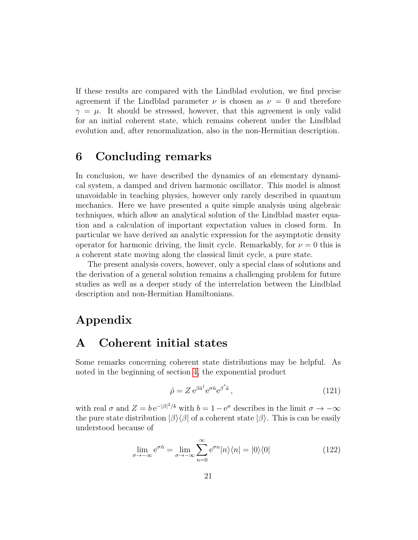If these results are compared with the Lindblad evolution, we find precise agreement if the Lindblad parameter  $\nu$  is chosen as  $\nu = 0$  and therefore  $\gamma = \mu$ . It should be stressed, however, that this agreement is only valid for an initial coherent state, which remains coherent under the Lindblad evolution and, after renormalization, also in the non-Hermitian description.

### 6 Concluding remarks

In conclusion, we have described the dynamics of an elementary dynamical system, a damped and driven harmonic oscillator. This model is almost unavoidable in teaching physics, however only rarely described in quantum mechanics. Here we have presented a quite simple analysis using algebraic techniques, which allow an analytical solution of the Lindblad master equation and a calculation of important expectation values in closed form. In particular we have derived an analytic expression for the asymptotic density operator for harmonic driving, the limit cycle. Remarkably, for  $\nu = 0$  this is a coherent state moving along the classical limit cycle, a pure state.

The present analysis covers, however, only a special class of solutions and the derivation of a general solution remains a challenging problem for future studies as well as a deeper study of the interrelation between the Lindblad description and non-Hermitian Hamiltonians.

# Appendix

#### <span id="page-20-0"></span>A Coherent initial states

Some remarks concerning coherent state distributions may be helpful. As noted in the beginning of section [4,](#page-10-0) the exponential product

$$
\hat{\rho} = Z e^{\beta \hat{a}^\dagger} e^{\sigma \hat{n}} e^{\beta^* \hat{a}}, \qquad (121)
$$

with real  $\sigma$  and  $Z = be^{-|\beta|^2/b}$  with  $b = 1 - e^{\sigma}$  describes in the limit  $\sigma \to -\infty$ the pure state distribution  $|\beta\rangle\langle\beta|$  of a coherent state  $|\beta\rangle$ . This is can be easily understood because of

$$
\lim_{\sigma \to -\infty} e^{\sigma \hat{n}} = \lim_{\sigma \to -\infty} \sum_{n=0}^{\infty} e^{\sigma n} |n\rangle\langle n| = |0\rangle\langle 0|
$$
 (122)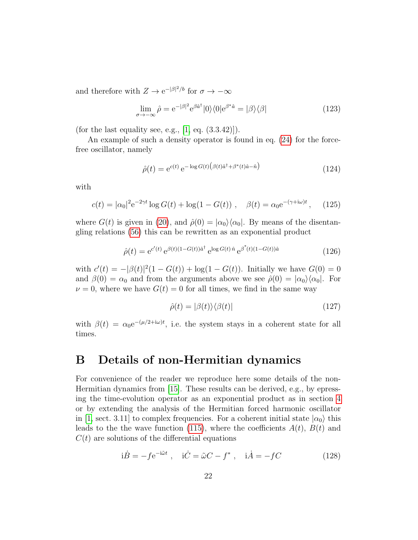and therefore with  $Z \to e^{-|\beta|^2/b}$  for  $\sigma \to -\infty$ 

$$
\lim_{\sigma \to -\infty} \hat{\rho} = e^{-|\beta|^2} e^{\beta \hat{a}^\dagger} |0\rangle \langle 0| e^{\beta^* \hat{a}} = |\beta\rangle \langle \beta|
$$
\n(123)

(for the last equality see, e.g.,  $[1, \text{eq. } (3.3.42)]$  $[1, \text{eq. } (3.3.42)]$ ).

An example of such a density operator is found in eq. [\(24\)](#page-6-1) for the forcefree oscillator, namely

$$
\hat{\rho}(t) = e^{c(t)} e^{-\log G(t) \left(\beta(t)\hat{a}^\dagger + \beta^*(t)\hat{a} - \hat{n}\right)}\tag{124}
$$

with

$$
c(t) = |\alpha_0|^2 e^{-2\gamma t} \log G(t) + \log(1 - G(t)), \quad \beta(t) = \alpha_0 e^{-(\gamma + i\omega)t}, \quad (125)
$$

where  $G(t)$  is given in [\(20\)](#page-5-5), and  $\hat{\rho}(0) = |\alpha_0\rangle\langle\alpha_0|$ . By means of the disentangling relations [\(56\)](#page-10-1) this can be rewritten as an exponential product

$$
\hat{\rho}(t) = e^{c'(t)} e^{\beta(t)(1 - G(t))\hat{a}^\dagger} e^{\log G(t)\hat{n}} e^{\beta^*(t)(1 - G(t))\hat{a}}
$$
\n(126)

with  $c'(t) = -|\beta(t)|^2(1 - G(t)) + \log(1 - G(t))$ . Initially we have  $G(0) = 0$ and  $\beta(0) = \alpha_0$  and from the arguments above we see  $\hat{\rho}(0) = |\alpha_0\rangle\langle\alpha_0|$ . For  $\nu = 0$ , where we have  $G(t) = 0$  for all times, we find in the same way

<span id="page-21-0"></span>
$$
\hat{\rho}(t) = |\beta(t)\rangle\langle\beta(t)|\tag{127}
$$

with  $\beta(t) = \alpha_0 e^{-(\mu/2 + i\omega)t}$ , i.e. the system stays in a coherent state for all times.

#### <span id="page-21-1"></span>B Details of non-Hermitian dynamics

For convenience of the reader we reproduce here some details of the non-Hermitian dynamics from [\[15\]](#page-23-6). These results can be derived, e.g., by epressing the time-evolution operator as an exponential product as in section [4](#page-10-0) or by extending the analysis of the Hermitian forced harmonic oscillator in [\[1,](#page-22-0) sect. 3.11] to complex frequencies. For a coherent initial state  $|\alpha_0\rangle$  this leads to the the wave function [\(115\)](#page-19-2), where the coefficients  $A(t)$ ,  $B(t)$  and  $C(t)$  are solutions of the differential equations

$$
\dot{B} = -fe^{-i\tilde{\omega}t} , \quad \dot{C} = \tilde{\omega}C - f^* , \quad \dot{A} = -fC \tag{128}
$$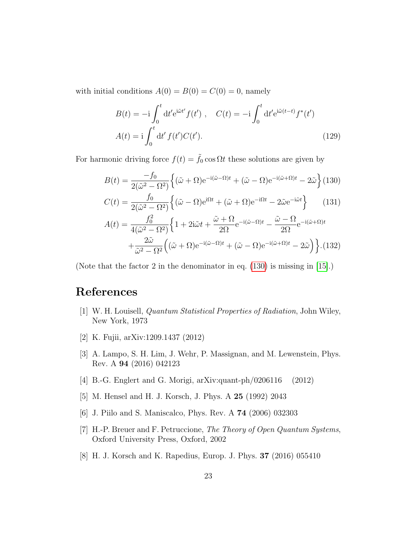with initial conditions  $A(0) = B(0) = C(0) = 0$ , namely

$$
B(t) = -i \int_0^t dt' e^{i\tilde{\omega}t'} f(t'), \quad C(t) = -i \int_0^t dt' e^{i\tilde{\omega}(t-t)} f^*(t')
$$
  

$$
A(t) = i \int_0^t dt' f(t') C(t').
$$
 (129)

For harmonic driving force  $f(t) = \tilde{f}_0 \cos \Omega t$  these solutions are given by

<span id="page-22-8"></span>
$$
B(t) = \frac{-f_0}{2(\tilde{\omega}^2 - \Omega^2)} \left\{ (\tilde{\omega} + \Omega)e^{-i(\tilde{\omega} - \Omega)t} + (\tilde{\omega} - \Omega)e^{-i(\tilde{\omega} + \Omega)t} - 2\tilde{\omega} \right\} (130)
$$
  
\n
$$
C(t) = \frac{f_0}{2(\tilde{\omega}^2 - \Omega^2)} \left\{ (\tilde{\omega} - \Omega)e^{i\Omega t} + (\tilde{\omega} + \Omega)e^{-i\Omega t} - 2\tilde{\omega}e^{-i\tilde{\omega}t} \right\} \qquad (131)
$$
  
\n
$$
A(t) = \frac{f_0^2}{4(\tilde{\omega}^2 - \Omega^2)} \left\{ 1 + 2i\tilde{\omega}t + \frac{\tilde{\omega} + \Omega}{2\Omega} e^{-i(\tilde{\omega} - \Omega)t} - \frac{\tilde{\omega} - \Omega}{2\Omega} e^{-i(\tilde{\omega} + \Omega)t} + \frac{2\tilde{\omega}}{2\Omega} \left( (\tilde{\omega} + \Omega)e^{-i(\tilde{\omega} - \Omega)t} + (\tilde{\omega} - \Omega)e^{-i(\tilde{\omega} + \Omega)t} - 2\tilde{\omega} \right) \right\} . (132)
$$

(Note that the factor 2 in the denominator in eq. [\(130\)](#page-22-8) is missing in [\[15\]](#page-23-6).)

#### References

- <span id="page-22-0"></span>[1] W. H. Louisell, Quantum Statistical Properties of Radiation, John Wiley, New York, 1973
- <span id="page-22-1"></span>[2] K. Fujii, arXiv:1209.1437 (2012)

 $+$ 

 $\tilde{\omega}^2 - \Omega^2$ 

- <span id="page-22-2"></span>[3] A. Lampo, S. H. Lim, J. Wehr, P. Massignan, and M. Lewenstein, Phys. Rev. A 94 (2016) 042123
- <span id="page-22-3"></span>[4] B.-G. Englert and G. Morigi, arXiv:quant-ph/0206116 (2012)
- <span id="page-22-4"></span>[5] M. Hensel and H. J. Korsch, J. Phys. A 25 (1992) 2043
- <span id="page-22-5"></span>[6] J. Piilo and S. Maniscalco, Phys. Rev. A 74 (2006) 032303
- <span id="page-22-6"></span>[7] H.-P. Breuer and F. Petruccione, The Theory of Open Quantum Systems, Oxford University Press, Oxford, 2002
- <span id="page-22-7"></span>[8] H. J. Korsch and K. Rapedius, Europ. J. Phys. 37 (2016) 055410